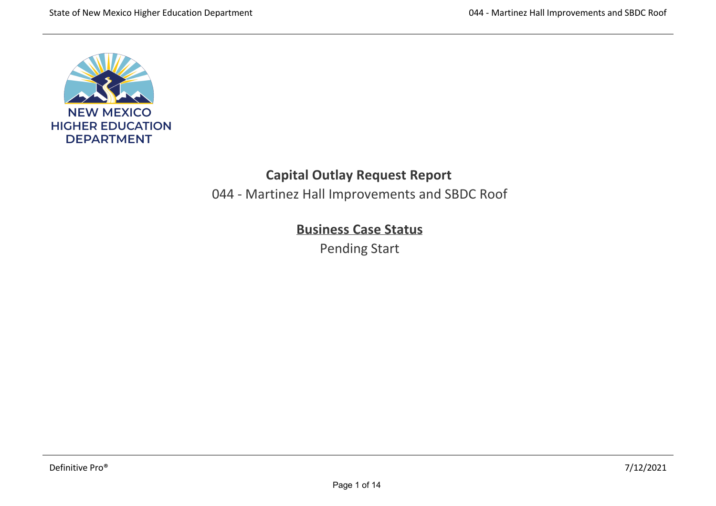

# **Capital Outlay Request Report**

044 ‐ Martinez Hall Improvements and SBDC Roof

# **Business Case Status**

Pending Start

,我们也不会有什么。""我们的人,我们也不会有什么?""我们的人,我们也不会有什么?""我们的人,我们也不会有什么?""我们的人,我们也不会有什么?""我们的人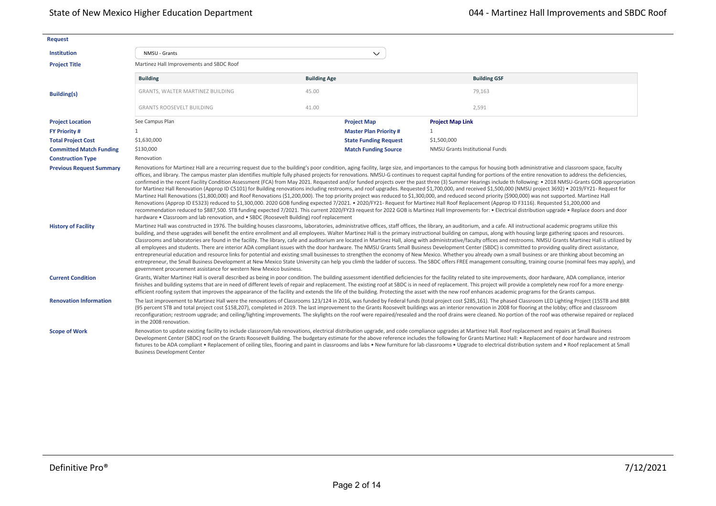| <b>Request</b>                 |                                                                                                                                                                                                                                                                                                                                                                                                                                                                                                                                                                                                                                                                                                                                                                                                                                                                                                                                                                                                                                                                                                                                                                                                                                                                                                                                                                                   |                     |                              |                                                                                                                                                                                                                                                                                                                                                                                                                                                                                                                                                                                                                                                                                                                                                                                                                                                                                                                                                                                                                                                                                                                                                                                                                                                                                                                      |  |  |
|--------------------------------|-----------------------------------------------------------------------------------------------------------------------------------------------------------------------------------------------------------------------------------------------------------------------------------------------------------------------------------------------------------------------------------------------------------------------------------------------------------------------------------------------------------------------------------------------------------------------------------------------------------------------------------------------------------------------------------------------------------------------------------------------------------------------------------------------------------------------------------------------------------------------------------------------------------------------------------------------------------------------------------------------------------------------------------------------------------------------------------------------------------------------------------------------------------------------------------------------------------------------------------------------------------------------------------------------------------------------------------------------------------------------------------|---------------------|------------------------------|----------------------------------------------------------------------------------------------------------------------------------------------------------------------------------------------------------------------------------------------------------------------------------------------------------------------------------------------------------------------------------------------------------------------------------------------------------------------------------------------------------------------------------------------------------------------------------------------------------------------------------------------------------------------------------------------------------------------------------------------------------------------------------------------------------------------------------------------------------------------------------------------------------------------------------------------------------------------------------------------------------------------------------------------------------------------------------------------------------------------------------------------------------------------------------------------------------------------------------------------------------------------------------------------------------------------|--|--|
| <b>Institution</b>             | NMSU - Grants                                                                                                                                                                                                                                                                                                                                                                                                                                                                                                                                                                                                                                                                                                                                                                                                                                                                                                                                                                                                                                                                                                                                                                                                                                                                                                                                                                     |                     | $\checkmark$                 |                                                                                                                                                                                                                                                                                                                                                                                                                                                                                                                                                                                                                                                                                                                                                                                                                                                                                                                                                                                                                                                                                                                                                                                                                                                                                                                      |  |  |
| <b>Project Title</b>           | Martinez Hall Improvements and SBDC Roof                                                                                                                                                                                                                                                                                                                                                                                                                                                                                                                                                                                                                                                                                                                                                                                                                                                                                                                                                                                                                                                                                                                                                                                                                                                                                                                                          |                     |                              |                                                                                                                                                                                                                                                                                                                                                                                                                                                                                                                                                                                                                                                                                                                                                                                                                                                                                                                                                                                                                                                                                                                                                                                                                                                                                                                      |  |  |
|                                | <b>Building</b>                                                                                                                                                                                                                                                                                                                                                                                                                                                                                                                                                                                                                                                                                                                                                                                                                                                                                                                                                                                                                                                                                                                                                                                                                                                                                                                                                                   | <b>Building Age</b> |                              | <b>Building GSF</b>                                                                                                                                                                                                                                                                                                                                                                                                                                                                                                                                                                                                                                                                                                                                                                                                                                                                                                                                                                                                                                                                                                                                                                                                                                                                                                  |  |  |
| <b>Building(s)</b>             | GRANTS, WALTER MARTINEZ BUILDING                                                                                                                                                                                                                                                                                                                                                                                                                                                                                                                                                                                                                                                                                                                                                                                                                                                                                                                                                                                                                                                                                                                                                                                                                                                                                                                                                  | 45.00               |                              | 79,163                                                                                                                                                                                                                                                                                                                                                                                                                                                                                                                                                                                                                                                                                                                                                                                                                                                                                                                                                                                                                                                                                                                                                                                                                                                                                                               |  |  |
|                                | <b>GRANTS ROOSEVELT BUILDING</b>                                                                                                                                                                                                                                                                                                                                                                                                                                                                                                                                                                                                                                                                                                                                                                                                                                                                                                                                                                                                                                                                                                                                                                                                                                                                                                                                                  | 41.00               |                              | 2,591                                                                                                                                                                                                                                                                                                                                                                                                                                                                                                                                                                                                                                                                                                                                                                                                                                                                                                                                                                                                                                                                                                                                                                                                                                                                                                                |  |  |
| <b>Project Location</b>        | See Campus Plan                                                                                                                                                                                                                                                                                                                                                                                                                                                                                                                                                                                                                                                                                                                                                                                                                                                                                                                                                                                                                                                                                                                                                                                                                                                                                                                                                                   |                     | <b>Project Map</b>           | <b>Project Map Link</b>                                                                                                                                                                                                                                                                                                                                                                                                                                                                                                                                                                                                                                                                                                                                                                                                                                                                                                                                                                                                                                                                                                                                                                                                                                                                                              |  |  |
| <b>FY Priority #</b>           | $\mathbf{1}$                                                                                                                                                                                                                                                                                                                                                                                                                                                                                                                                                                                                                                                                                                                                                                                                                                                                                                                                                                                                                                                                                                                                                                                                                                                                                                                                                                      |                     | <b>Master Plan Priority#</b> | 1                                                                                                                                                                                                                                                                                                                                                                                                                                                                                                                                                                                                                                                                                                                                                                                                                                                                                                                                                                                                                                                                                                                                                                                                                                                                                                                    |  |  |
| <b>Total Project Cost</b>      | \$1,630,000                                                                                                                                                                                                                                                                                                                                                                                                                                                                                                                                                                                                                                                                                                                                                                                                                                                                                                                                                                                                                                                                                                                                                                                                                                                                                                                                                                       |                     | <b>State Funding Request</b> | \$1,500,000                                                                                                                                                                                                                                                                                                                                                                                                                                                                                                                                                                                                                                                                                                                                                                                                                                                                                                                                                                                                                                                                                                                                                                                                                                                                                                          |  |  |
| <b>Committed Match Funding</b> | \$130,000                                                                                                                                                                                                                                                                                                                                                                                                                                                                                                                                                                                                                                                                                                                                                                                                                                                                                                                                                                                                                                                                                                                                                                                                                                                                                                                                                                         |                     | <b>Match Funding Source</b>  | NMSU Grants Institutional Funds                                                                                                                                                                                                                                                                                                                                                                                                                                                                                                                                                                                                                                                                                                                                                                                                                                                                                                                                                                                                                                                                                                                                                                                                                                                                                      |  |  |
| <b>Construction Type</b>       | Renovation                                                                                                                                                                                                                                                                                                                                                                                                                                                                                                                                                                                                                                                                                                                                                                                                                                                                                                                                                                                                                                                                                                                                                                                                                                                                                                                                                                        |                     |                              |                                                                                                                                                                                                                                                                                                                                                                                                                                                                                                                                                                                                                                                                                                                                                                                                                                                                                                                                                                                                                                                                                                                                                                                                                                                                                                                      |  |  |
|                                | offices, and library. The campus master plan identifies multiple fully phased projects for renovations. NMSU-G continues to request capital funding for portions of the entire renovation to address the deficiencies,<br>confirmed in the recent Facility Condition Assessment (FCA) from May 2021. Requested and/or funded projects over the past three (3) Summer Hearings include th following: • 2018 NMSU-Grants GOB appropriation<br>for Martinez Hall Renovation (Approp ID C5101) for Building renovations including restrooms, and roof upgrades. Requested \$1,700,000, and received \$1,500,000 (NMSU project 3692) . 2019/FY21- Request for<br>Martinez Hall Renovations (\$1,800,000) and Roof Renovations (\$1,200,000). The top priority project was reduced to \$1,300,000, and reduced second priority (\$900,000) was not supported. Martinez Hall<br>Renovations (Approp ID E5323) reduced to \$1,300,000. 2020 GOB funding expected 7/2021. • 2020/FY21- Request for Martinez Hall Roof Replacement (Approp ID F3116). Requested \$1,200,000 and<br>recommendation reduced to \$887,500. STB funding expected 7/2021. This current 2020/FY23 request for 2022 GOB is Martinez Hall Improvements for: • Electrical distribution upgrade • Replace doors and door<br>hardware . Classroom and lab renovation, and . SBDC (Roosevelt Building) roof replacement |                     |                              |                                                                                                                                                                                                                                                                                                                                                                                                                                                                                                                                                                                                                                                                                                                                                                                                                                                                                                                                                                                                                                                                                                                                                                                                                                                                                                                      |  |  |
| <b>History of Facility</b>     | government procurement assistance for western New Mexico business.                                                                                                                                                                                                                                                                                                                                                                                                                                                                                                                                                                                                                                                                                                                                                                                                                                                                                                                                                                                                                                                                                                                                                                                                                                                                                                                |                     |                              | Martinez Hall was constructed in 1976. The building houses classrooms, laboratories, administrative offices, staff offices, the library, an auditorium, and a cafe. All instructional academic programs utilize this<br>building, and these upgrades will benefit the entire enrollment and all employees. Walter Martinez Hall is the primary instructional building on campus, along with housing large gathering spaces and resources.<br>Classrooms and laboratories are found in the facility. The library, cafe and auditorium are located in Martinez Hall, along with administrative/faculty offices and restrooms. NMSU Grants Martinez Hall is utilized by<br>all employees and students. There are interior ADA compliant issues with the door hardware. The NMSU Grants Small Business Development Center (SBDC) is committed to providing quality direct assistance,<br>entrepreneurial education and resource links for potential and existing small businesses to strengthen the economy of New Mexico. Whether you already own a small business or are thinking about becoming an<br>entrepreneur, the Small Business Development at New Mexico State University can help you climb the ladder of success. The SBDC offers FREE management consulting, training course (nominal fees may apply), and |  |  |
| <b>Current Condition</b>       |                                                                                                                                                                                                                                                                                                                                                                                                                                                                                                                                                                                                                                                                                                                                                                                                                                                                                                                                                                                                                                                                                                                                                                                                                                                                                                                                                                                   |                     |                              | Grants, Walter Martinez Hall is overall described as being in poor condition. The building assessment identified deficiencies for the facility related to site improvements, door hardware, ADA compliance, interior<br>finishes and building systems that are in need of different levels of repair and replacement. The existing roof at SBDC is in need of replacement. This project will provide a completely new roof for a more energy-<br>efficient roofing system that improves the appearance of the facility and extends the life of the building. Protecting the asset with the new roof enhances academic programs for the Grants campus.                                                                                                                                                                                                                                                                                                                                                                                                                                                                                                                                                                                                                                                                |  |  |
| <b>Renovation Information</b>  | in the 2008 renovation.                                                                                                                                                                                                                                                                                                                                                                                                                                                                                                                                                                                                                                                                                                                                                                                                                                                                                                                                                                                                                                                                                                                                                                                                                                                                                                                                                           |                     |                              | The last improvement to Martinez Hall were the renovations of Classrooms 123/124 in 2016, was funded by Federal funds (total project cost \$285,161). The phased Classroom LED Lighting Project (15STB and BRR<br>(95 percent STB and total project cost \$158,207), completed in 2019. The last improvement to the Grants Roosevelt buildings was an interior renovation in 2008 for flooring at the lobby; office and classroom<br>reconfiguration; restroom upgrade; and ceiling/lighting improvements. The skylights on the roof were repaired/resealed and the roof drains were cleaned. No portion of the roof was otherwise repaired or replaced                                                                                                                                                                                                                                                                                                                                                                                                                                                                                                                                                                                                                                                              |  |  |
| <b>Scope of Work</b>           | <b>Business Development Center</b>                                                                                                                                                                                                                                                                                                                                                                                                                                                                                                                                                                                                                                                                                                                                                                                                                                                                                                                                                                                                                                                                                                                                                                                                                                                                                                                                                |                     |                              | Renovation to update existing facility to include classroom/lab renovations, electrical distribution upgrade, and code compliance upgrades at Martinez Hall. Roof replacement and repairs at Small Business<br>Development Center (SBDC) roof on the Grants Roosevelt Building. The budgetary estimate for the above reference includes the following for Grants Martinez Hall: . Replacement of door hardware and restroom<br>fixtures to be ADA compliant . Replacement of ceiling tiles, flooring and paint in classrooms and labs . New furniture for lab classrooms . Upgrade to electrical distribution system and . Roof replacement at Small                                                                                                                                                                                                                                                                                                                                                                                                                                                                                                                                                                                                                                                                 |  |  |

*Provide Fall Semester enrollment data*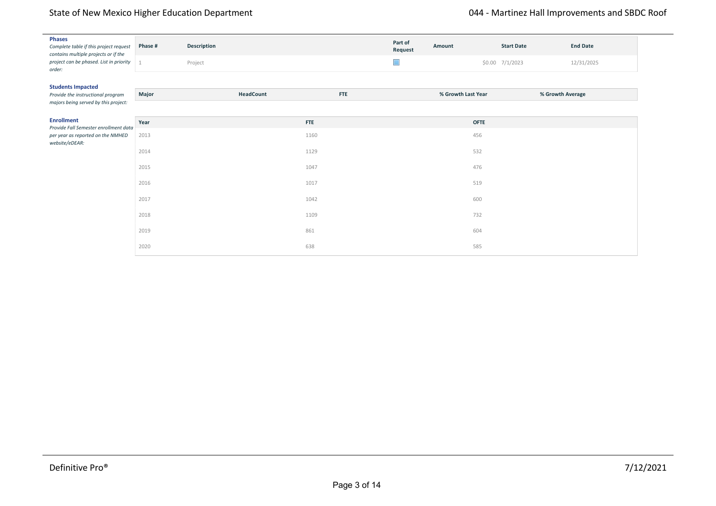## State of New Mexico Higher Education Department<br>
State of New Mexico Higher Education Department

| <b>Phases</b><br>Complete table if this project request<br>contains multiple projects or if the | Phase # | Description |            | Part of<br>Request | Amount             | <b>Start Date</b> | <b>End Date</b> |
|-------------------------------------------------------------------------------------------------|---------|-------------|------------|--------------------|--------------------|-------------------|-----------------|
| project can be phased. List in priority<br>order:                                               |         | Project     |            | $\Box$             |                    | \$0.00 7/1/2023   | 12/31/2025      |
| <b>Students Impacted</b>                                                                        |         |             |            |                    |                    |                   |                 |
| Provide the instructional program<br>majors being served by this project:                       | Major   | HeadCount   | <b>FTE</b> |                    | % Growth Last Year | % Growth Average  |                 |
| <b>Enrollment</b><br>Provide Fall Semester enrollment data                                      | Year    |             | <b>FTE</b> |                    | <b>OFTE</b>        |                   |                 |
| per year as reported on the NMHED<br>website/eDEAR:                                             | 2013    |             | 1160       |                    | 456                |                   |                 |
|                                                                                                 | 2014    |             | 1129       |                    | 532                |                   |                 |
|                                                                                                 | 2015    |             | 1047       |                    | 476                |                   |                 |
|                                                                                                 | 2016    |             | 1017       |                    | 519                |                   |                 |
|                                                                                                 | 2017    |             | 1042       |                    | 600                |                   |                 |
|                                                                                                 | 2018    |             | 1109       |                    | 732                |                   |                 |
|                                                                                                 | 2019    |             | 861        |                    | 604                |                   |                 |
|                                                                                                 | 2020    |             | 638        |                    | 585                |                   |                 |

Grants Overall Graduation by year for Associate (A) and Certificate (C) degrees. Year A C 2015‐2016 50 24 2016‐2017 67 34 2017‐2018 66 39 2018‐2019 44 20 2019‐2020 51 29 Projected Degrees Awarded Based on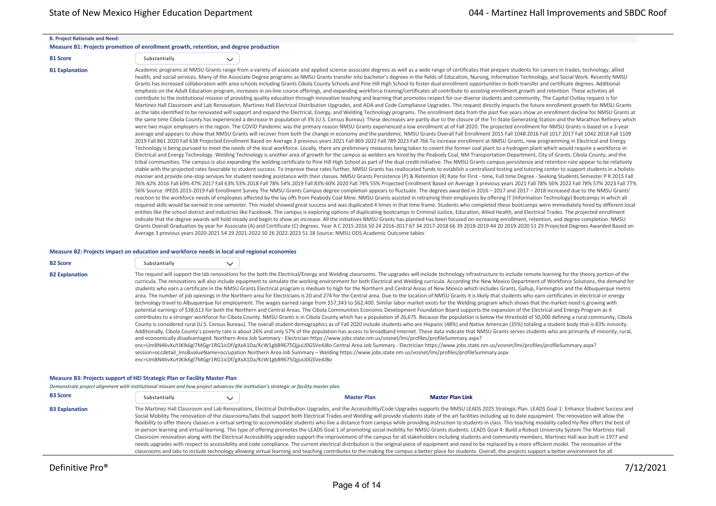#### **B. Project Rationale and Need:**

#### **Measure B1: Projects promotion of enrollment growth, retention, and degree production**

| <b>B1 Score</b> | Substantially |
|-----------------|---------------|
|                 |               |

 $\checkmark$ 

B1 Explanation Manation Academic programs at NMSU Grants range from a variety of associate and applied science associate degrees as well as a wide range of certificates that prepare students for careers in trades, technolo health, and social services. Many of the Associate Degree programs as NMSU Grants transfer into bachelor's degrees in the fields of Education, Nursing, Information Technology, and Social Work. Recently NMSU Grants has increased collaboration with area schools including Grants Cibola County Schools and Pine Hill High School to foster dual enrollment opportunities in both transfer and certificate degrees. Additional emphasis on the Adult Education program, increases in on-line course offerings, and expanding workforce training/certificates all contribute to assisting enrollment growth and retention. These activities all contribute to the institutional mission of providing quality education through innovative teaching and learning that promotes respect for our diverse students and community. The Capital Outlay request is for Martinez Hall Classroom and Lab Renovation, Martinez Hall Electrical Distribution Upgrades, and ADA and Code Compliance Upgrades. This request directly impacts the future enrollment growth for NMSU Grants as the labs identified to be renovated will support and expand the Electrical, Energy, and Welding Technology programs. The enrollment data from the past five years show an enrollment decline for NMSU Grants at the same time Cibola County has experienced a decrease in population of 3% (U.S. Census Bureau). These decreases are partly due to the closure of the Tri‐State Generating Station and the Marathon Refinery which were two major employers in the region. The COVID Pandemic was the primary reason NMSU Grants experienced a low enrollment at of Fall 2020. The projected enrollment for NMSU Grants is based on a 3-year average and appears to show that NMSU Grants will recover from both the change in economy and the pandemic. NMSU Grants Overall Fall Enrollment 2015 Fall 1048 2016 Fall 1017 2017 Fall 1042 2018 Fall 1109 2019 Fall 861 2020 Fall 638 Projected Enrollment Based on Average 3 previous years 2021 Fall 869 2022 Fall 789 2023 Fall 766 To increase enrollment at NMSU Grants, new programming in Electrical and Energy Technology is being pursued to meet the needs of the local workforce. Locally, there are preliminary measures being taken to covert the former coal plant to a hydrogen plant which would require a workforce in Electrical and Energy Technology. Welding Technology is another area of growth for the campus as welders are hired by the Peabody Coal, NM Transportation Department, City of Grants, Cibola County, and the tribal communities. The campus is also expanding the welding certificate to Pine Hill High School as part of the dual credit initiative. The NMSU Grants campus persistence and retention rate appear to be relatively stable with the projected rates favorable to student success. To improve these rates further, NMSU Grants has reallocated funds to establish a centralized testing and tutoring center to support students in a holistic manner and provide one‐stop services for student needing assistance with their classes. NMSU Grants Persistence (P) & Retention (R) Rate for First ‐ time, Full time Degree ‐ Seeking Students Semester P R 2015 Fall 76% 42% 2016 Fall 69% 47% 2017 Fall 63% 53% 2018 Fall 78% 54% 2019 Fall 83% 60% 2020 Fall 74% 55% Projected Enrollment Based on Average 3 previous years 2021 Fall 78% 56% 2022 Fall 78% 57% 2023 Fall 77% 56% Source: IPEDS 2015‐2019 Fall Enrollment Survey The NMSU Grants Campus degree completion appears to fluctuate. The degrees awarded in 2016 – 2017 and 2017 – 2018 increased due to the NMSU Grants' reaction to the workforce needs of employees affected by the lay offs from Peabody Coal Mine. NMSU Grants assisted in retraining their employees by offering IT (Information Technology) Bootcamps in which all required skills would be earned in one semester. This model showed great success and was duplicated 4 times in that time frame. Students who completed these bootcamps were immediately hired by different local entities like the school district and industries like Facebook. The campus is exploring options of duplicating bootcamps in Criminal Justice, Education, Allied Health, and Electrical Trades. The projected enrollment indicate that the degree awards will hold steady and begin to show an increase. All the initiatives NMSU Grants has planned has been focused on increasing enrollment, retention, and degree completion. NMSU Grants Overall Graduation by year for Associate (A) and Certificate (C) degrees. Year A C 2015‐2016 50 24 2016‐2017 67 34 2017‐2018 66 39 2018‐2019 44 20 2019‐2020 51 29 Projected Degrees Awarded Based on Average 3 previous years 2020‐2021 54 29 2021‐2022 50 26 2022‐2023 51 28 Source: NMSU ODS Academic Outcome tables

#### **Measure B2: Projects impact on education and workforce needs in local and regional economies**

| <b>B2 Score</b> | Substantially |  |
|-----------------|---------------|--|
|                 |               |  |

B2 Explanation The request will support the lab renovations for the both the Electrical/Energy and Welding classrooms. The upgrades will include technology infrastructure to include remote learning for the theory portion o curricula. The renovations will also include equipment to simulate the working environment for both Electrical and Welding curricula. According the New Mexico Department of Workforce Solutions, the demand for students who earn a certificate in the NMSU Grants Electrical program is medium to high for the Northern and Central Areas of New Mexico which includes Grants, Gallup, Farmington and the Albuquerque metro area. The number of job openings in the Northern area for Electricians is 20 and 274 for the Central area. Due to the location of NMSU Grants it is likely that students who earn certificates in electrical or energy technology travel to Albuquerque for employment. The wages earned range from \$57,343 to \$62,400. Similar labor market exists for the Welding program which shows that the market need is growing with potential earnings of \$38,613 for both the Northern and Central Areas. The Cibola Communities Economic Development Foundation Board supports the expansion of the Electrical and Energy Program as it contributes to a stronger workforce for Cibola County. NMSU Grants is in Cibola County which has a population of 26,675. Because the population is below the threshold of 50,000 defining a rural community, Cibola County is considered rural (U.S. Census Bureau). The overall student demographics as of Fall 2020 include students who are Hispanic (48%) and Native American (35%) totaling a student body that is 83% minority. Additionally, Cibola County's poverty rate is about 26% and only 57% of the population has access to broadband Internet. These data indicate that NMSU Grants serves students who are primarily of minority, rural, and economically disadvantaged. Northern Area Job Summary ‐ Electrician https://www.jobs.state.nm.us/vosnet/lmi/profiles/profileSummary.aspx? enc=Um8N46vXuYJKIk6gl7MGgr1RG1icDf/gXxA1Da/KcW1gbB9675QjjuU0GSVe4J8o Central Area Job Summary - Electrician https://www.jobs.state.nm.us/vosnet/lmi/profiles/profileSummary.aspx?

session=occdetail\_lms&valueName=occupation Northern Area Job Summary – Welding https://www.jobs.state.nm.us/vosnet/lmi/profiles/profileSummary.aspx enc=Um8N46vXuYJKIk6gl7MGgr1RG1icDf/gXxA1Da/KcW1gbB9675QjjuU0GSVe4J8o

#### **Measure B3: Projects support of HEI Strategic Plan or Facility Master Plan**

*Demonstrate project alignment with institutional mission and how project advances the institution's strategic or facility master plan.*

| <b>B3 Score</b>       | Substantially | <b>Master Plan</b> | <b>Master Plan Link</b>                                                                                                                                                                                                                                                                                                                                                                                                                                                                                                                                                                                                                                                                                                                                                                                                                                                                                                                                                                                                                                                                                                                                                                                                                                                                                                                                                                                                                                                                                                                           |
|-----------------------|---------------|--------------------|---------------------------------------------------------------------------------------------------------------------------------------------------------------------------------------------------------------------------------------------------------------------------------------------------------------------------------------------------------------------------------------------------------------------------------------------------------------------------------------------------------------------------------------------------------------------------------------------------------------------------------------------------------------------------------------------------------------------------------------------------------------------------------------------------------------------------------------------------------------------------------------------------------------------------------------------------------------------------------------------------------------------------------------------------------------------------------------------------------------------------------------------------------------------------------------------------------------------------------------------------------------------------------------------------------------------------------------------------------------------------------------------------------------------------------------------------------------------------------------------------------------------------------------------------|
| <b>B3 Explanation</b> |               |                    | The Martinez Hall Classroom and Lab Renovations, Electrical Distribution Upgrades, and the Accessibility/Code Upgrades supports the NMSU LEADS 2025 Strategic Plan. LEADS Goal 1: Enhance Student Success and<br>Social Mobility The renovation of the classrooms/labs that support both Electrical Trades and Welding will provide students state of the art facilities including up to date equipment. The renovation will allow the<br>flexibility to offer theory classes in a virtual setting to accommodate students who live a distance from campus while providing instruction to students in class. This teaching modality called Hy-flex offers the best of<br>in-person learning and virtual learning. This type of offering promotes the LEADS Goal 1 of promoting social mobility for NMSU Grants students. LEADS Goal 4: Build a Robust University System The Martinez Hall<br>Classroom renovation along with the Electrical Accessibility upgrades support the improvement of the campus for all stakeholders including students and community members. Martinez Hall was built in 1977 and<br>needs upgrades with respect to accessibility and code compliance. The current electrical distribution is the original piece of equipment and need to be replaced by a more efficient model. The renovation of the<br>classrooms and labs to include technology allowing virtual learning and teaching contributes to the making the campus a better place for students. Overall, the projects support a better environment for all |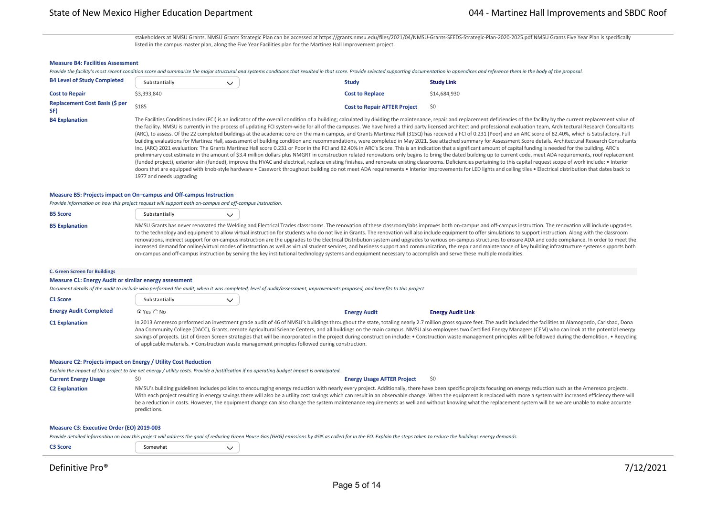stakeholders at NMSU Grants. NMSU Grants Strategic Plan can be accessed at https://grants.nmsu.edu/files/2021/04/NMSU-Grants-SEEDS-Strategic-Plan-2020-2025.pdf NMSU Grants Five Year Plan is specifically listed in the campus master plan, along the Five Year Facilities plan for the Martinez Hall Improvement project.

### **Measure B4: Facilities Assessment**

|                                              |               |                                     | Provide the facility's most recent condition score and summarize the major structural and systems conditions that resulted in that score. Provide selected supporting documentation in appendices and reference them in the bo                                                                                                                                                                                                                           |
|----------------------------------------------|---------------|-------------------------------------|----------------------------------------------------------------------------------------------------------------------------------------------------------------------------------------------------------------------------------------------------------------------------------------------------------------------------------------------------------------------------------------------------------------------------------------------------------|
| <b>B4 Level of Study Completed</b>           | Substantially | Study                               | <b>Study Link</b>                                                                                                                                                                                                                                                                                                                                                                                                                                        |
| <b>Cost to Repair</b>                        | \$3,393,840   | <b>Cost to Replace</b>              | \$14,684,930                                                                                                                                                                                                                                                                                                                                                                                                                                             |
| <b>Replacement Cost Basis (\$ per</b><br>SF) | \$185         | <b>Cost to Repair AFTER Project</b> | S0                                                                                                                                                                                                                                                                                                                                                                                                                                                       |
| <b>B4 Explanation</b>                        |               |                                     | The Facilities Conditions Index (FCI) is an indicator of the overall condition of a building; calculated by dividing the maintenance, repair and replacement deficiencies of the facility by the current replacement value of<br>the facility. NMSU is currently in the process of updating FCI system-wide for all of the campuses. We have hired a third party licensed architect and professional evaluation team, Architectural Research Consultants |

the facility. NMSU is currently in the process of updating FCI system‐wide for all of the campuses. We have hired a third party licensed architect and professional evaluation team, Architectural Research Consultants (ARC), to assess. Of the 22 completed buildings at the academic core on the main campus, and Grants Martinez Hall (315Q) has received a FCI of 0.231 (Poor) and an ARC score of 82.40%, which is Satisfactory. Full building evaluations for Martinez Hall, assessment of building condition and recommendations, were completed in May 2021. See attached summary for Assessment Score details. Architectural Research Consultants Inc. (ARC) 2021 evaluation: The Grants Martinez Hall score 0.231 or Poor in the FCI and 82.40% in ARC's Score. This is an indication that a significant amount of capital funding is needed for the building. ARC's preliminary cost estimate in the amount of \$3.4 million dollars plus NMGRT in construction related renovations only begins to bring the dated building up to current code, meet ADA requirements, roof replacement (funded project), exterior skin (funded), improve the HVAC and electrical, replace existing finishes, and renovate existing classrooms. Deficiencies pertaining to this capital request scope of work include: • Interior doors that are equipped with knob-style hardware • Casework throughout building do not meet ADA requirements • Interior improvements for LED lights and ceiling tiles • Electrical distribution that dates back to 1977 and needs upgrading

### **Measure B5: Projects impact on On–campus and Off‐campus Instruction**

*Provide information on how this project request will support both on‐campus and off‐campus instruction.*

| <b>B5 Score</b>       | Substantially                                    | $\checkmark$ |  |  |
|-----------------------|--------------------------------------------------|--------------|--|--|
| <b>B5 Explanation</b> | NMSU Grants has never renovated the Welding a    |              |  |  |
|                       | to the technology and equipment to allow virtual |              |  |  |

and Electrical Trades classrooms. The renovation of these classroom/labs improves both on-campus and off-campus instruction. The renovation will include upgrades to the technology and equipment to allow virtual instruction for students who do not live in Grants. The renovation will also include equipment to offer simulations to support instruction. Along with the classroom renovations, indirect support for on-campus instruction are the upgrades to the Electrical Distribution system and upgrades to various on-campus structures to ensure ADA and code compliance. In order to meet the increased demand for online/virtual modes of instruction as well as virtual student services, and business support and communication, the repair and maintenance of key building infrastructure systems supports both on-campus and off-campus instruction by serving the key institutional technology systems and equipment necessary to accomplish and serve these multiple modalities.

#### **C. Green Screen for Buildings**

#### **Measure C1: Energy Audit or similar energy assessment**

*Document details of the audit to include who performed the audit, when it was completed, level of audit/assessment, improvements proposed, and benefits to this project*

| <b>C1 Score</b>               | Substantially  |                                                                                                   |                     |                                                                                                                                                                                                                                                                                                                                                                                                                                                                                                                                                                                                                                                                   |
|-------------------------------|----------------|---------------------------------------------------------------------------------------------------|---------------------|-------------------------------------------------------------------------------------------------------------------------------------------------------------------------------------------------------------------------------------------------------------------------------------------------------------------------------------------------------------------------------------------------------------------------------------------------------------------------------------------------------------------------------------------------------------------------------------------------------------------------------------------------------------------|
| <b>Energy Audit Completed</b> | $C$ Yes $C$ No |                                                                                                   | <b>Energy Audit</b> | <b>Energy Audit Link</b>                                                                                                                                                                                                                                                                                                                                                                                                                                                                                                                                                                                                                                          |
| <b>C1 Explanation</b>         |                | of applicable materials. • Construction waste management principles followed during construction. |                     | In 2013 Ameresco preformed an investment grade audit of 46 of NMSU's buildings throughout the state, totaling nearly 2.7 million gross square feet. The audit included the facilities at Alamogordo, Carlsbad, Dona<br>Ana Community College (DACC), Grants, remote Agricultural Science Centers, and all buildings on the main campus. NMSU also employees two Certified Energy Managers (CEM) who can look at the potential energy<br>savings of projects. List of Green Screen strategies that will be incorporated in the project during construction include: . Construction waste management principles will be followed during the demolition. . Recycling |

#### **Measure C2: Projects impact on Energy / Utility Cost Reduction**

*Explain the impact of this project to the net energy / utility costs. Provide a justification if no operating budget impact is anticipated.*

**Current Energy Usage**  $\sim$  **\$0**  $\sim$  \$0 **Energy Usage AFTER Project** \$0 **Energy Usage AFTER Project** \$0

C2 Explanation MMSU's building guidelines includes policies to encouraging energy reduction with nearly every project. Additionally, there have been specific projects focusing on energy reduction such as the Ameresco proje With each project resulting in energy savings there will also be a utility cost savings which can result in an observable change. When the equipment is replaced with more a system with increased efficiency there will be a reduction in costs. However, the equipment change can also change the system maintenance requirements as well and without knowing what the replacement system will be we are unable to make accurate predictions.

### **Measure C3: Executive Order (EO) 2019‐003**

*Provide detailed information on how this project will address the goal of reducing Green House Gas (GHG) emissions by 45% as called for in the EO. Explain the steps taken to reduce the buildings energy demands.*

| -222<br><b>Score</b><br>Somewhat |  |
|----------------------------------|--|
|----------------------------------|--|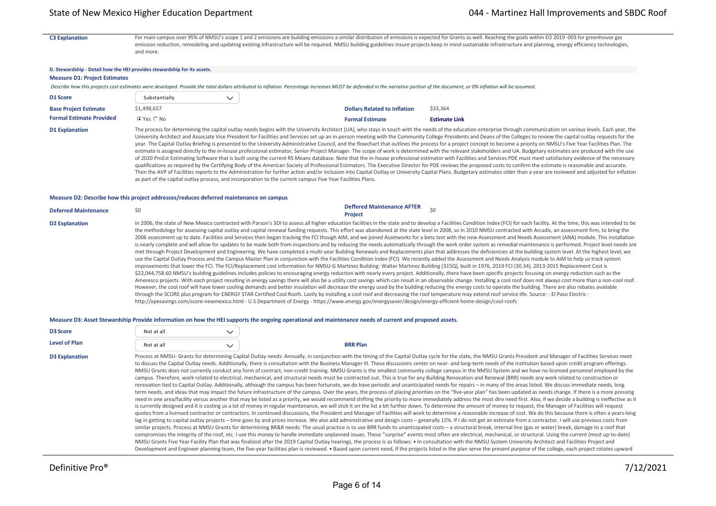C3 Explanation For main campus over 95% of NMSU's scope 1 and 2 emissions are building emissions a similar distribution of emissions is expected for Grants as well. Reaching the goals within EO 2019 -003 for greenhouse gas emission reduction, remodeling and updating existing infrastructure will be required. NMSU building guidelines insure projects keep in mind sustainable infrastructure and planning, energy efficiency technologies, and more.

#### **D. Stewardship ‐ Detail how the HEI provides stewardship for its assets.**

#### **Measure D1: Project Estimates**

Describe how this projects cost estimates were developed. Provide the total dollars attributed to inflation. Percentage increases MUST be defended in the narrative portion of the document, or 0% inflation will be assumed.

| D1 Score                        | Substantially   | $\checkmark$                                                                                                                                                              |                                     |                      |
|---------------------------------|-----------------|---------------------------------------------------------------------------------------------------------------------------------------------------------------------------|-------------------------------------|----------------------|
| <b>Base Project Estimate</b>    | \$1.498.657     |                                                                                                                                                                           | <b>Dollars Related to Inflation</b> | \$33.364             |
| <b>Formal Estimate Provided</b> | $C$ Yes $C$ No. |                                                                                                                                                                           | <b>Formal Estimate</b>              | <b>Estimate Link</b> |
| <b>D1 Explanation</b>           |                 | The process for determining the capital outlay needs begins with the University Architect (UA), who stays in touch with the needs of the education enterprise through com |                                     |                      |

imunication on various levels. Each year, the University Architect and Associate Vice President for Facilities and Services set up an in-person meeting with the Community College Presidents and Deans of the Colleges to review the capital outlay requests for the year. The Capital Outlay Briefing is presented to the University Administrative Council, and the flowchart that outlines the process for a project concept to become a priority on NMSU's Five Year Facilities Plan. The estimate is assigned directly to the in-house professional estimator, Senior Project Manager. The scope of work is determined with the relevant stakeholders and UA. Budgetary estimates are produced with the use of 2020 ProEst Estimating Software that is built using the current RS Means database. Note that the in‐house professional estimator with Facilities and Services PDE must meet satisfactory evidence of the necessary qualifications as required by the Certifying Body of the American Society of Professional Estimators. The Executive Director for PDE reviews the proposed costs to confirm the estimate is reasonable and accurate. Then the AVP of Facilities reports to the Administration for further action and/or inclusion into Capital Outlay or University Capital Plans. Budgetary estimates older than a year are reviewed and adjusted for inflation as part of the capital outlay process, and incorporation to the current campus Five Year Facilities Plans.

#### **Measure D2: Describe how this project addresses/reduces deferred maintenance on campus**

| <b>Deferred Maintenance</b> | <b>Deffered Maintenance AFTER</b><br>S0<br><b>Project</b>                                                                                                                                                                                                                                                                                                                                                                                                                                                                                                                                                                                                                                                                                                                                                                                                                                                                                                                                                                                                                                                                                                                                                                                                                                                                                                                                                                                                                                                                                                                                                                                                                                                                                                                                                                                                                                                                                                                                                                                                                                                                                                                                                                                                                                                                                                                                                                                                                                                                                                                           |
|-----------------------------|-------------------------------------------------------------------------------------------------------------------------------------------------------------------------------------------------------------------------------------------------------------------------------------------------------------------------------------------------------------------------------------------------------------------------------------------------------------------------------------------------------------------------------------------------------------------------------------------------------------------------------------------------------------------------------------------------------------------------------------------------------------------------------------------------------------------------------------------------------------------------------------------------------------------------------------------------------------------------------------------------------------------------------------------------------------------------------------------------------------------------------------------------------------------------------------------------------------------------------------------------------------------------------------------------------------------------------------------------------------------------------------------------------------------------------------------------------------------------------------------------------------------------------------------------------------------------------------------------------------------------------------------------------------------------------------------------------------------------------------------------------------------------------------------------------------------------------------------------------------------------------------------------------------------------------------------------------------------------------------------------------------------------------------------------------------------------------------------------------------------------------------------------------------------------------------------------------------------------------------------------------------------------------------------------------------------------------------------------------------------------------------------------------------------------------------------------------------------------------------------------------------------------------------------------------------------------------------|
| <b>D2 Explanation</b>       | In 2006, the state of New Mexico contracted with Parson's 3DI to assess all higher education facilities in the state and to develop a Facilities Condition Index (FCI) for each facility. At the time, this was intended to be<br>the methodology for assessing capital outlay and capital renewal funding requests. This effort was abandoned at the state level in 2008, so in 2010 NMSU contracted with Arcadis, an assessment firm, to bring the<br>2006 assessment up to date. Facilities and Services then began tracking the FCI though AiM, and we joined Assetworks for a beta test with the new Assessment and Needs Assessment (ANA) module. This installation<br>is nearly complete and will allow for updates to be made both from inspections and by reducing the needs automatically through the work order system as remedial maintenance is performed. Project level needs are<br>met through Project Development and Engineering. We have completed a multi-year Building Renewals and Replacements plan that addresses the deficiencies at the building system level. At the highest level, we<br>use the Capital Outlay Process and the Campus Master Plan in conjunction with the Facilities Condition Index (FCI). We recently added the Assessment and Needs Analysis module to AiM to help us track system<br>improvements that lower the FCI. The FCI/Replacement cost information for NMSU-G Martinez Building: Walter Martinez Building (315Q), built in 1976, 2019 FCI (30.34), 2013-2015 Replacement Cost is<br>\$22,044,758.60.NMSU's building guidelines includes policies to encouraging energy reduction with nearly every project. Additionally, there have been specific projects focusing on energy reduction such as the<br>Ameresco projects. With each project resulting in energy savings there will also be a utility cost savings which can result in an observable change. Installing a cool roof does not always cost more than a non-cool roof.<br>However, the cool roof will have lower cooling demands and better insulation will decrease the energy used by the building reducing the energy costs to operate the building. There are also rebates available<br>through the SCORE plus program for ENERGY STAR Certified Cool Roofs. Lastly by installing a cool roof and decreasing the roof temperature may extend roof service life. Source: - El Paso Electric -<br>http://epesavings.com/score-newmexico.html - U.S Department of Energy - https://www.energy.gov/energysaver/design/energy-efficient-home-design/cool-roofs |

#### **Measure D3: Asset Stewardship Provide information on how the HEI supports the ongoing operational and maintenance needs of current and proposed assets.**

| <b>D3 Score</b>       | Not at all | $\checkmark$ |                                                                                                                                                                                                                                                                                                                                                                                                                                                                                                                                                                                                                                                                                                                                                                                                                                                                                                                                                                                                                                                                                                                                                                                                                                                                                                                                                                                                                                                                                                                                                                                                                                                                                                                                                                                                                                                                                                                                                                                                                                                                                                                                                                                                                                                                                                                                                                                                                                                                                                                                                                                                                                                                                                                                                                                                                                                                                                                                                                                                                                                                                                                                         |  |
|-----------------------|------------|--------------|-----------------------------------------------------------------------------------------------------------------------------------------------------------------------------------------------------------------------------------------------------------------------------------------------------------------------------------------------------------------------------------------------------------------------------------------------------------------------------------------------------------------------------------------------------------------------------------------------------------------------------------------------------------------------------------------------------------------------------------------------------------------------------------------------------------------------------------------------------------------------------------------------------------------------------------------------------------------------------------------------------------------------------------------------------------------------------------------------------------------------------------------------------------------------------------------------------------------------------------------------------------------------------------------------------------------------------------------------------------------------------------------------------------------------------------------------------------------------------------------------------------------------------------------------------------------------------------------------------------------------------------------------------------------------------------------------------------------------------------------------------------------------------------------------------------------------------------------------------------------------------------------------------------------------------------------------------------------------------------------------------------------------------------------------------------------------------------------------------------------------------------------------------------------------------------------------------------------------------------------------------------------------------------------------------------------------------------------------------------------------------------------------------------------------------------------------------------------------------------------------------------------------------------------------------------------------------------------------------------------------------------------------------------------------------------------------------------------------------------------------------------------------------------------------------------------------------------------------------------------------------------------------------------------------------------------------------------------------------------------------------------------------------------------------------------------------------------------------------------------------------------------|--|
| <b>Level of Plan</b>  | Not at all | $\checkmark$ | <b>BRR Plan</b>                                                                                                                                                                                                                                                                                                                                                                                                                                                                                                                                                                                                                                                                                                                                                                                                                                                                                                                                                                                                                                                                                                                                                                                                                                                                                                                                                                                                                                                                                                                                                                                                                                                                                                                                                                                                                                                                                                                                                                                                                                                                                                                                                                                                                                                                                                                                                                                                                                                                                                                                                                                                                                                                                                                                                                                                                                                                                                                                                                                                                                                                                                                         |  |
| <b>D3 Explanation</b> |            |              | Process at NMSU- Grants for determining Capital Outlay needs: Annually, in conjunction with the timing of the Capital Outlay cycle for the state, the NMSU Grants President and Manager of Facilities Services meet<br>to discuss the Capital Outlay needs. Additionally, there is consultation with the Business Manager III. These discussions center on near- and long-term needs of the institution based upon credit program offerings.<br>NMSU Grants does not currently conduct any form of contract, non-credit training. NMSU Grants is the smallest community college campus in the NMSU System and we have no licensed personnel employed by the<br>campus. Therefore, work related to electrical, mechanical, and structural needs must be contracted out. This is true for any Building Renovation and Renewal (BRR) needs any work related to construction or<br>renovation tied to Capital Outlay. Additionally, although the campus has been fortunate, we do have periodic and unanticipated needs for repairs - in many of the areas listed. We discuss immediate needs, long<br>term needs, and ideas that may impact the future infrastructure of the campus. Over the years, the process of placing priorities on the "five-year plan" has been updated as needs change. If there is a more pressing<br>need in one area/facility versus another that may be listed as a priority, we would recommend shifting the priority to more immediately address the most dire need first. Also, if we decide a building is ineffective as it<br>is currently designed and it is costing us a lot of money in regular maintenance, we will stick it on the list a bit further down. To determine the amount of money to request, the Manager of Facilities will request<br>quotes from a licensed contractor or contractors. In continued discussions, the President and Manager of Facilities will work to determine a reasonable increase of cost. We do this because there is often a years-long<br>lag in getting to capital outlay projects - time goes by and prices increase. We also add administrative and design costs - generally 15%. If I do not get an estimate from a contractor, I will use previous costs from<br>similar projects. Process at NMSU Grants for determining BR&R needs: The usual practice is to use BRR funds to unanticipated costs - a structural break, internal line (gas or water) break, damage to a roof that<br>compromises the integrity of the roof, etc. I use this money to handle immediate unplanned issues. These "surprise" events most often are electrical, mechanical, or structural. Using the current (most up-to-date)<br>NMSU Grants Five Year Facility Plan that was finalized after the 2019 Capital Outlay hearings, the process is as follows: . In consultation with the NMSU System University Architect and Facilities Project and<br>Development and Engineer planning team, the five-year facilities plan is reviewed. • Based upon current need, if the projects listed in the plan serve the present purpose of the college, each project rotates upward |  |
|                       |            |              |                                                                                                                                                                                                                                                                                                                                                                                                                                                                                                                                                                                                                                                                                                                                                                                                                                                                                                                                                                                                                                                                                                                                                                                                                                                                                                                                                                                                                                                                                                                                                                                                                                                                                                                                                                                                                                                                                                                                                                                                                                                                                                                                                                                                                                                                                                                                                                                                                                                                                                                                                                                                                                                                                                                                                                                                                                                                                                                                                                                                                                                                                                                                         |  |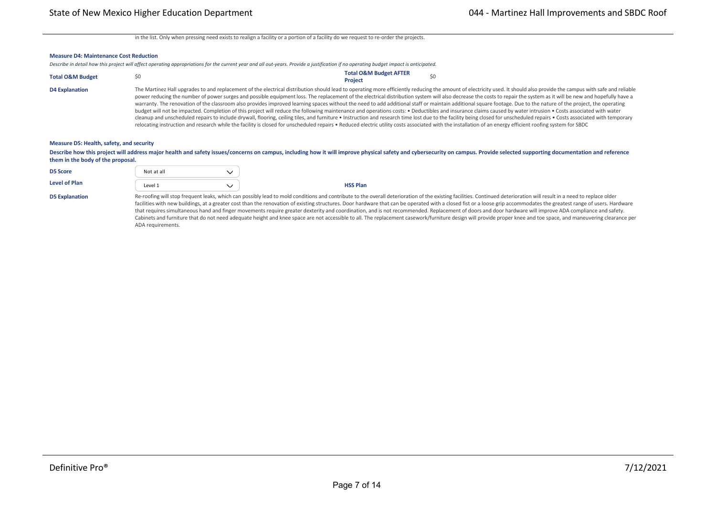in the list. Only when pressing need exists to realign a facility or a portion of a facility do we request to re-order the projects.

#### **Measure D4: Maintenance Cost Reduction**

| Describe in detail how this project will affect operating appropriations for the current year and all out-years. Provide a justification if no operating budget impact is anticipated. |  |
|----------------------------------------------------------------------------------------------------------------------------------------------------------------------------------------|--|
|----------------------------------------------------------------------------------------------------------------------------------------------------------------------------------------|--|

**Telecom \$** \$0 \$0 \$0 \$0 \$0 \$0

| <b>Total O&amp;M Budget</b> | <b>Total O&amp;M Budget AFTER</b><br><b>Project</b>                                                                                                                                                                                                                                                                                                                                                                                                                                                                                                                                                                                                                                                                                                                                                                                                                                                                                                                                                                                                                                                                                                                                                                                                                                                                                |
|-----------------------------|------------------------------------------------------------------------------------------------------------------------------------------------------------------------------------------------------------------------------------------------------------------------------------------------------------------------------------------------------------------------------------------------------------------------------------------------------------------------------------------------------------------------------------------------------------------------------------------------------------------------------------------------------------------------------------------------------------------------------------------------------------------------------------------------------------------------------------------------------------------------------------------------------------------------------------------------------------------------------------------------------------------------------------------------------------------------------------------------------------------------------------------------------------------------------------------------------------------------------------------------------------------------------------------------------------------------------------|
| <b>D4 Explanation</b>       | The Martinez Hall upgrades to and replacement of the electrical distribution should lead to operating more efficiently reducing the amount of electricity used. It should also provide the campus with safe and reliable<br>power reducing the number of power surges and possible equipment loss. The replacement of the electrical distribution system will also decrease the costs to repair the system as it will be new and hopefully have a<br>warranty. The renovation of the classroom also provides improved learning spaces without the need to add additional staff or maintain additional square footage. Due to the nature of the project, the operating<br>budget will not be impacted. Completion of this project will reduce the following maintenance and operations costs: . Deductibles and insurance claims caused by water intrusion . Costs associated with water<br>cleanup and unscheduled repairs to include drywall, flooring, ceiling tiles, and furniture . Instruction and research time lost due to the facility being closed for unscheduled repairs . Costs associated with temporary<br>relocating instruction and research while the facility is closed for unscheduled repairs • Reduced electric utility costs associated with the installation of an energy efficient roofing system for SBDC |

#### **Measure D5: Health, safety, and security**

Describe how this project will address major health and safety issues/concerns on campus, including how it will improve physical safety and cybersecurity on campus. Provide selected supporting documentation and reference **them in the body of the proposal.**

| <b>D5 Score</b>       | Not at all                                                                                                                                                                                                                                                                                                                                                                                                                                                                                                                                                                                                                                                                                                                                                                                                                                                                                           |  |                 |  |  |  |  |  |  |
|-----------------------|------------------------------------------------------------------------------------------------------------------------------------------------------------------------------------------------------------------------------------------------------------------------------------------------------------------------------------------------------------------------------------------------------------------------------------------------------------------------------------------------------------------------------------------------------------------------------------------------------------------------------------------------------------------------------------------------------------------------------------------------------------------------------------------------------------------------------------------------------------------------------------------------------|--|-----------------|--|--|--|--|--|--|
| <b>Level of Plan</b>  | Level 1                                                                                                                                                                                                                                                                                                                                                                                                                                                                                                                                                                                                                                                                                                                                                                                                                                                                                              |  | <b>HSS Plan</b> |  |  |  |  |  |  |
| <b>D5 Explanation</b> | Re-roofing will stop frequent leaks, which can possibly lead to mold conditions and contribute to the overall deterioration of the existing facilities. Continued deterioration will result in a need to replace older<br>facilities with new buildings, at a greater cost than the renovation of existing structures. Door hardware that can be operated with a closed fist or a loose grip accommodates the greatest range of users. Hardware<br>that requires simultaneous hand and finger movements require greater dexterity and coordination, and is not recommended. Replacement of doors and door hardware will improve ADA compliance and safety.<br>Cabinets and furniture that do not need adequate height and knee space are not accessible to all. The replacement casework/furniture design will provide proper knee and toe space, and maneuvering clearance per<br>ADA requirements. |  |                 |  |  |  |  |  |  |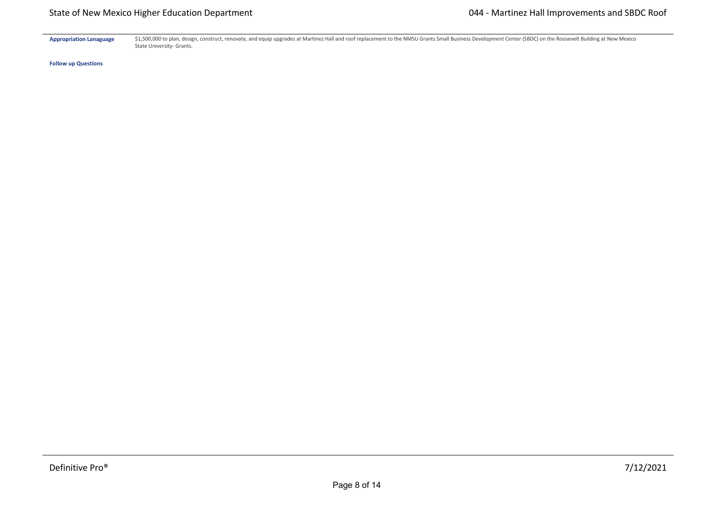Appropriation Lanaguage \$1,500,000 to plan, design, construct, renovate, and equip upgrades at Martinez Hall and roof replacement to the NMSU Grants Small Business Development Center (SBDC) on the Roosevelt Building at New State University- Grants.

**Follow up Questions**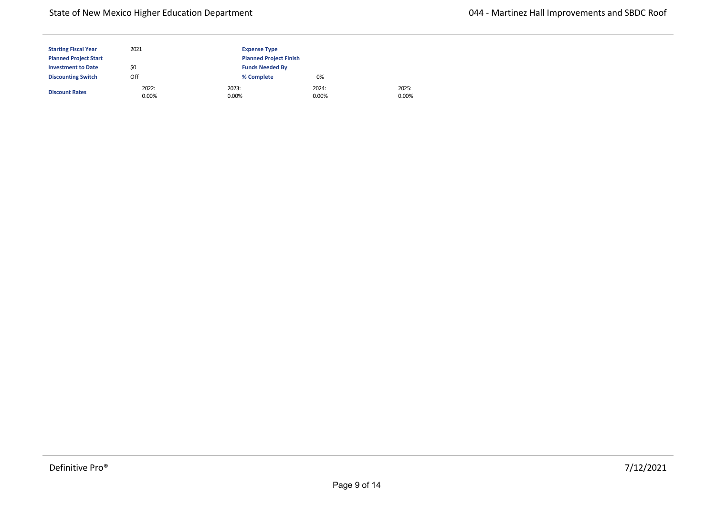| <b>Starting Fiscal Year</b>  | 2021           | <b>Expense Type</b>           |                |                |
|------------------------------|----------------|-------------------------------|----------------|----------------|
| <b>Planned Project Start</b> |                | <b>Planned Project Finish</b> |                |                |
| <b>Investment to Date</b>    | \$0            | <b>Funds Needed By</b>        |                |                |
| <b>Discounting Switch</b>    | Off            | % Complete                    | 0%             |                |
| <b>Discount Rates</b>        | 2022:<br>0.00% | 2023:<br>0.00%                | 2024:<br>0.00% | 2025:<br>0.00% |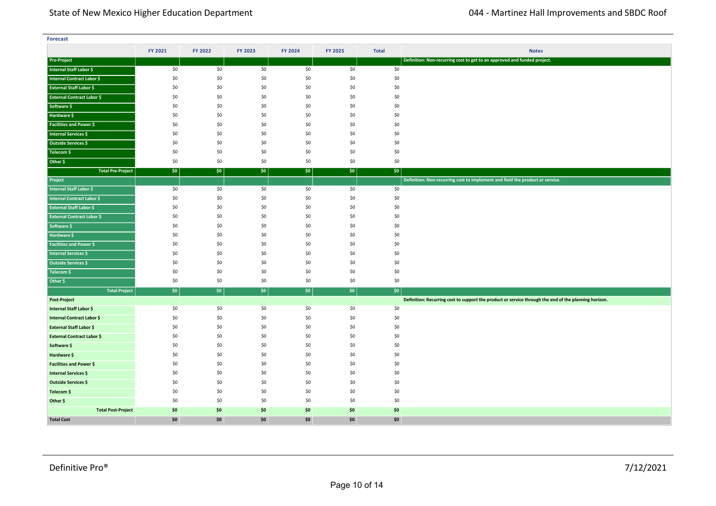| <b>Forecast</b>                   |         |         |         |         |         |              |                                                                                                       |
|-----------------------------------|---------|---------|---------|---------|---------|--------------|-------------------------------------------------------------------------------------------------------|
|                                   | FY 2021 | FY 2022 | FY 2023 | FY 2024 | FY 2025 | <b>Total</b> | <b>Notes</b>                                                                                          |
| <b>Pre-Project</b>                |         |         |         |         |         |              | Definition: Non-recurring cost to get to an approved and funded project.                              |
| Internal Staff Labor \$           | \$0     | \$0     | \$0     | \$0     | \$0     | \$0          |                                                                                                       |
| Internal Contract Labor \$        | \$0     | \$0     | \$0     | \$0     | \$0     | \$0          |                                                                                                       |
| <b>External Staff Labor \$</b>    | \$0     | \$0     | \$0     | \$0     | \$0     | \$0          |                                                                                                       |
| <b>External Contract Labor \$</b> | \$0     | \$0     | \$0     | \$0     | \$0     | \$0          |                                                                                                       |
| Software \$                       | \$0     | \$0     | \$0     | \$0     | \$0     | \$0          |                                                                                                       |
| Hardware \$                       | \$0     | \$0     | \$0     | \$0     | \$0     | \$0          |                                                                                                       |
| <b>Facilities and Power \$</b>    | \$0     | \$0     | \$0     | \$0     | \$0     | \$0          |                                                                                                       |
| <b>Internal Services \$</b>       | \$0     | \$0     | \$0     | \$0     | \$0     | \$0          |                                                                                                       |
| Outside Services \$               | \$0     | \$0     | \$0     | \$0     | \$0     | \$0          |                                                                                                       |
| Telecom \$                        | \$0     | \$0     | \$0     | \$0     | \$0     | \$0          |                                                                                                       |
| Other \$                          | \$0     | \$0     | \$0     | \$0     | \$0     | \$0          |                                                                                                       |
| <b>Total Pre-Project</b>          | \$0     | \$0     | \$0     | \$0     | \$0     | \$0          |                                                                                                       |
| Project                           |         |         |         |         |         |              | Definition: Non-recurring cost to implement and field the product or service.                         |
| Internal Staff Labor \$           | \$0     | \$0     | \$0     | \$0     | \$0     | \$0          |                                                                                                       |
| Internal Contract Labor \$        | \$0     | \$0     | \$0     | \$0     | \$0     | \$0          |                                                                                                       |
| <b>External Staff Labor \$</b>    | \$0     | \$0     | \$0     | \$0     | \$0     | \$0          |                                                                                                       |
| <b>External Contract Labor \$</b> | \$0     | \$0     | \$0     | \$0     | \$0     | \$0          |                                                                                                       |
| Software \$                       | \$0     | \$0     | \$0     | \$0     | \$0     | \$0          |                                                                                                       |
| Hardware \$                       | \$0     | \$0     | \$0     | \$0     | \$0     | \$0          |                                                                                                       |
| <b>Facilities and Power \$</b>    | \$0     | \$0     | \$0     | \$0     | \$0     | \$0          |                                                                                                       |
| <b>Internal Services \$</b>       | \$0     | \$0     | \$0     | \$0     | \$0     | \$0          |                                                                                                       |
| Outside Services \$               | \$0     | \$0     | \$0     | \$0     | \$0     | \$0          |                                                                                                       |
| Telecom \$                        | \$0     | \$0     | \$0     | \$0     | \$0     | \$0          |                                                                                                       |
| Other \$                          | \$0     | \$0     | \$0     | \$0     | \$0     | \$0          |                                                                                                       |
| <b>Total Project</b>              | \$0     | \$0     | \$0     | \$0     | $ $ \$0 | \$0          |                                                                                                       |
| Post-Project                      |         |         |         |         |         |              | Definition: Recurring cost to support the product or service through the end of the planning horizon. |
| Internal Staff Labor \$           | \$0     | \$0     | \$0     | \$0     | \$0     | \$0          |                                                                                                       |
| <b>Internal Contract Labor \$</b> | \$0     | \$0     | \$0     | \$0     | \$0     | \$0          |                                                                                                       |
| <b>External Staff Labor \$</b>    | \$0     | \$0     | \$0     | \$0     | \$0     | \$0          |                                                                                                       |
| <b>External Contract Labor \$</b> | \$0     | \$0     | \$0     | \$0     | \$0     | \$0          |                                                                                                       |
| Software \$                       | \$0     | \$0     | \$0     | \$0     | \$0     | \$0          |                                                                                                       |
| Hardware \$                       | \$0     | \$0     | \$0     | \$0     | \$0     | \$0          |                                                                                                       |
| <b>Facilities and Power \$</b>    | \$0     | \$0     | \$0     | \$0     | \$0     | \$0          |                                                                                                       |
| Internal Services \$              | \$0     | \$0     | \$0     | \$0     | \$0     | \$0          |                                                                                                       |
| Outside Services \$               | \$0     | \$0     | \$0     | \$0     | \$0     | \$0          |                                                                                                       |
| Telecom \$                        | \$0     | \$0     | \$0     | \$0     | \$0     | \$0          |                                                                                                       |
| Other \$                          | \$0     | \$0     | \$0     | \$0     | \$0     | \$0          |                                                                                                       |
| <b>Total Post-Project</b>         | \$0     | \$0     | \$0     | \$0     | \$0     | \$0          |                                                                                                       |
| <b>Total Cost</b>                 | \$0     | \$0     | \$0     | \$0     | \$0     | \$0          |                                                                                                       |

**<Source 1> \$** \$0 \$0 \$0 \$0 \$0 \$0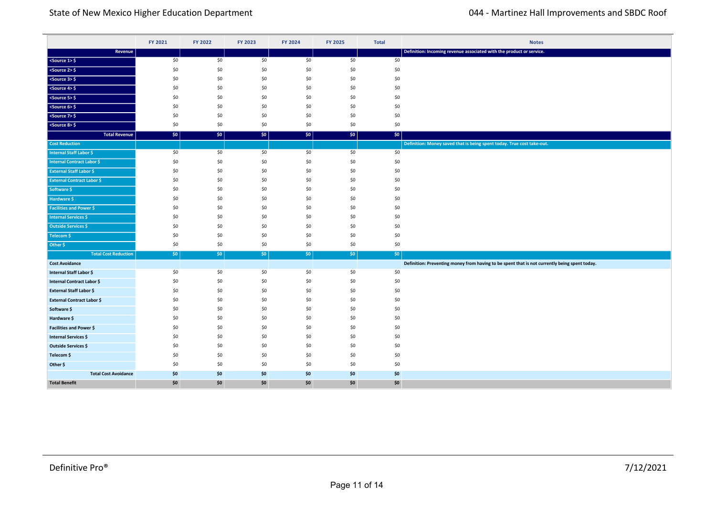|                                   | FY 2021 | FY 2022 | FY 2023 | FY 2024 | FY 2025 | <b>Total</b> | <b>Notes</b>                                                                                  |
|-----------------------------------|---------|---------|---------|---------|---------|--------------|-----------------------------------------------------------------------------------------------|
| Revenue                           |         |         |         |         |         |              | Definition: Incoming revenue associated with the product or service.                          |
| $ $ <source 1=""/> \$             | \$0     | \$0     | \$0     | \$0     | \$0     | \$0          |                                                                                               |
| $<$ Source 2> $\frac{6}{7}$       | \$0     | \$0     | \$0     | \$0     | \$0     | \$0          |                                                                                               |
| $<$ Source 3> $\frac{6}{5}$       | \$0     | \$0     | \$0     | \$0     | \$0     | \$0          |                                                                                               |
| $<$ Source 4> $\frac{1}{2}$       | \$0     | \$0     | \$0     | \$0     | \$0     | \$0          |                                                                                               |
| $<$ Source 5> $\frac{6}{5}$       | \$0     | \$0     | \$0     | \$0     | \$0     | \$0          |                                                                                               |
| $<$ Source 6> $\frac{6}{5}$       | \$0     | \$0     | \$0     | \$0     | \$0     | \$0          |                                                                                               |
| $<$ Source 7> $\frac{1}{2}$       | \$0     | \$0     | \$0     | \$0     | \$0     | \$0          |                                                                                               |
| $<$ Source 8> $\frac{6}{5}$       | \$0     | \$0     | \$0     | \$0     | \$0     | \$0          |                                                                                               |
| <b>Total Revenue</b>              | \$0\$   | \$0     | \$0     | \$0\$   | \$0     | \$0          |                                                                                               |
| <b>Cost Reduction</b>             |         |         |         |         |         |              | Definition: Money saved that is being spent today. True cost take-out.                        |
| <b>Internal Staff Labor \$</b>    | \$0     | \$0     | \$0     | \$0     | \$0     | \$0          |                                                                                               |
| Internal Contract Labor \$        | \$0     | \$0     | \$0     | \$0     | \$0     | \$0          |                                                                                               |
| <b>External Staff Labor \$</b>    | \$0     | \$0     | \$0     | \$0     | \$0     | \$0          |                                                                                               |
| <b>External Contract Labor \$</b> | \$0     | \$0     | \$0     | \$0     | \$0     | \$0          |                                                                                               |
| Software \$                       | \$0     | \$0     | \$0     | \$0     | \$0     | \$0          |                                                                                               |
| Hardware \$                       | \$0     | \$0     | \$0     | \$0     | \$0     | \$0          |                                                                                               |
| <b>Facilities and Power \$</b>    | \$0     | \$0     | \$0     | \$0     | \$0     | \$0          |                                                                                               |
| <b>Internal Services \$</b>       | \$0     | \$0     | \$0     | \$0     | \$0     | \$0          |                                                                                               |
| <b>Outside Services \$</b>        | \$0     | \$0     | \$0     | \$0     | \$0     | \$0          |                                                                                               |
| Telecom \$                        | \$0     | \$0     | \$0     | \$0     | \$0     | \$0          |                                                                                               |
| Other \$                          | \$0     | \$0     | \$0     | \$0     | \$0     | \$0          |                                                                                               |
| <b>Total Cost Reduction</b>       | \$0     | $ $ \$0 | $ $ \$0 | $ $ \$0 | $ $ \$0 | \$0          |                                                                                               |
| <b>Cost Avoidance</b>             |         |         |         |         |         |              | Definition: Preventing money from having to be spent that is not currently being spent today. |
| Internal Staff Labor \$           | \$0     | \$0     | \$0     | \$0     | \$0     | \$0          |                                                                                               |
| <b>Internal Contract Labor \$</b> | \$0     | \$0     | \$0     | \$0     | \$0     | \$0          |                                                                                               |
| <b>External Staff Labor \$</b>    | \$0     | \$0     | \$0     | \$0     | \$0     | \$0          |                                                                                               |
| <b>External Contract Labor \$</b> | \$0     | \$0     | \$0     | \$0     | \$0     | \$0          |                                                                                               |
| Software \$                       | \$0     | \$0     | \$0     | \$0     | \$0     | \$0          |                                                                                               |
| Hardware \$                       | \$0     | \$0     | \$0     | \$0     | \$0     | \$0          |                                                                                               |
| Facilities and Power \$           | \$0     | \$0     | \$0     | \$0     | \$0     | \$0          |                                                                                               |
| <b>Internal Services \$</b>       | \$0     | \$0     | \$0     | \$0     | \$0     | \$0          |                                                                                               |
| Outside Services \$               | \$0     | \$0     | \$0     | \$0     | \$0     | \$0          |                                                                                               |
| Telecom \$                        | \$0     | \$0     | \$0     | \$0     | \$0     | \$0          |                                                                                               |
| Other \$                          | \$0     | \$0     | \$0     | \$0     | \$0     | \$0          |                                                                                               |
| <b>Total Cost Avoidance</b>       | \$0     | \$0     | \$0     | \$0     | \$0     | \$0          |                                                                                               |
| <b>Total Benefit</b>              | \$0     | \$0     | \$0     | \$0     | \$0     | \$0          |                                                                                               |

**Total Cost Reduction** \$0 \$0 \$0 \$0 \$0 \$0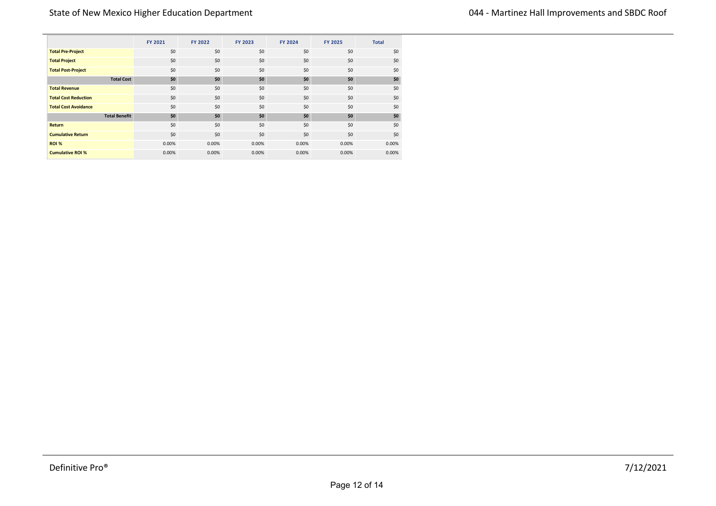|                             | <b>FY 2021</b>       | FY 2022    | FY 2023 | <b>FY 2024</b> | <b>FY 2025</b> | <b>Total</b> |
|-----------------------------|----------------------|------------|---------|----------------|----------------|--------------|
| <b>Total Pre-Project</b>    |                      | \$0<br>\$0 | \$0     | \$0            | \$0            | \$0          |
| <b>Total Project</b>        |                      | \$0<br>\$0 | \$0     | \$0            | \$0            | \$0          |
| <b>Total Post-Project</b>   |                      | \$0<br>\$0 | \$0     | \$0            | \$0            | \$0          |
|                             | <b>Total Cost</b>    | \$0<br>\$0 | \$0     | \$0            | \$0            | \$0          |
| <b>Total Revenue</b>        |                      | \$0<br>\$0 | \$0     | \$0            | \$0            | \$0          |
| <b>Total Cost Reduction</b> |                      | \$0<br>\$0 | \$0     | \$0            | \$0            | \$0          |
| <b>Total Cost Avoidance</b> |                      | \$0<br>\$0 | \$0     | \$0            | \$0            | \$0          |
|                             | <b>Total Benefit</b> | \$0<br>\$0 | \$0     | \$0            | \$0            | \$0          |
| Return                      |                      | \$0<br>\$0 | \$0     | \$0            | \$0            | \$0          |
| <b>Cumulative Return</b>    |                      | \$0<br>\$0 | \$0     | \$0            | \$0            | \$0          |
| <b>ROI %</b>                | 0.00%                | 0.00%      | 0.00%   | 0.00%          | 0.00%          | 0.00%        |
| <b>Cumulative ROI %</b>     | 0.00%                | 0.00%      | 0.00%   | 0.00%          | 0.00%          | 0.00%        |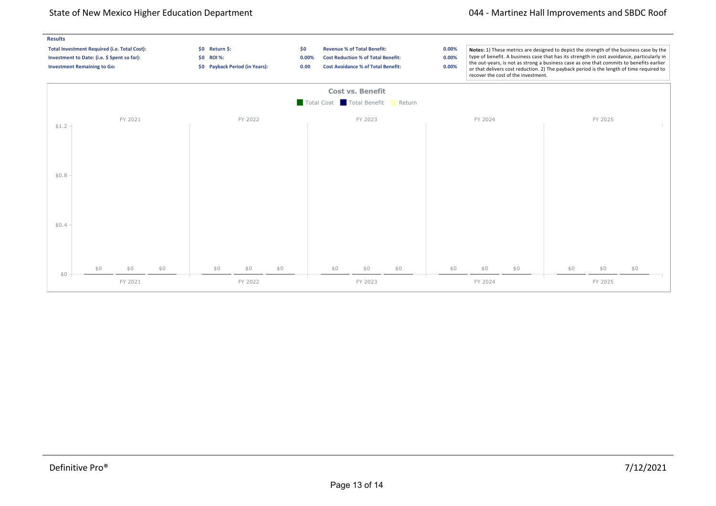